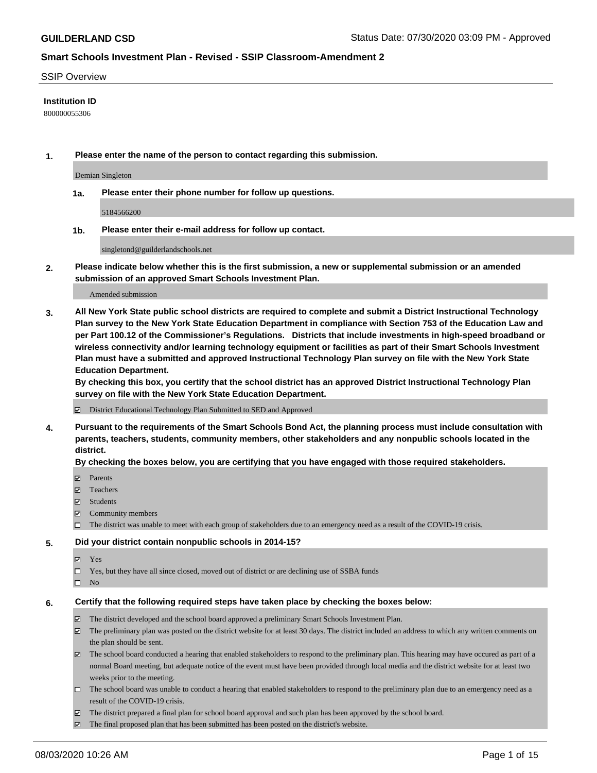#### SSIP Overview

### **Institution ID**

800000055306

**1. Please enter the name of the person to contact regarding this submission.**

Demian Singleton

**1a. Please enter their phone number for follow up questions.**

5184566200

**1b. Please enter their e-mail address for follow up contact.**

singletond@guilderlandschools.net

**2. Please indicate below whether this is the first submission, a new or supplemental submission or an amended submission of an approved Smart Schools Investment Plan.**

#### Amended submission

**3. All New York State public school districts are required to complete and submit a District Instructional Technology Plan survey to the New York State Education Department in compliance with Section 753 of the Education Law and per Part 100.12 of the Commissioner's Regulations. Districts that include investments in high-speed broadband or wireless connectivity and/or learning technology equipment or facilities as part of their Smart Schools Investment Plan must have a submitted and approved Instructional Technology Plan survey on file with the New York State Education Department.** 

**By checking this box, you certify that the school district has an approved District Instructional Technology Plan survey on file with the New York State Education Department.**

District Educational Technology Plan Submitted to SED and Approved

**4. Pursuant to the requirements of the Smart Schools Bond Act, the planning process must include consultation with parents, teachers, students, community members, other stakeholders and any nonpublic schools located in the district.** 

#### **By checking the boxes below, you are certifying that you have engaged with those required stakeholders.**

- **Ø** Parents
- Teachers
- Students
- $\boxtimes$  Community members
- The district was unable to meet with each group of stakeholders due to an emergency need as a result of the COVID-19 crisis.

#### **5. Did your district contain nonpublic schools in 2014-15?**

- **冈** Yes
- Yes, but they have all since closed, moved out of district or are declining use of SSBA funds
- $\square$  No

#### **6. Certify that the following required steps have taken place by checking the boxes below:**

- The district developed and the school board approved a preliminary Smart Schools Investment Plan.
- $\boxtimes$  The preliminary plan was posted on the district website for at least 30 days. The district included an address to which any written comments on the plan should be sent.
- The school board conducted a hearing that enabled stakeholders to respond to the preliminary plan. This hearing may have occured as part of a normal Board meeting, but adequate notice of the event must have been provided through local media and the district website for at least two weeks prior to the meeting.
- The school board was unable to conduct a hearing that enabled stakeholders to respond to the preliminary plan due to an emergency need as a result of the COVID-19 crisis.
- The district prepared a final plan for school board approval and such plan has been approved by the school board.
- $\boxtimes$  The final proposed plan that has been submitted has been posted on the district's website.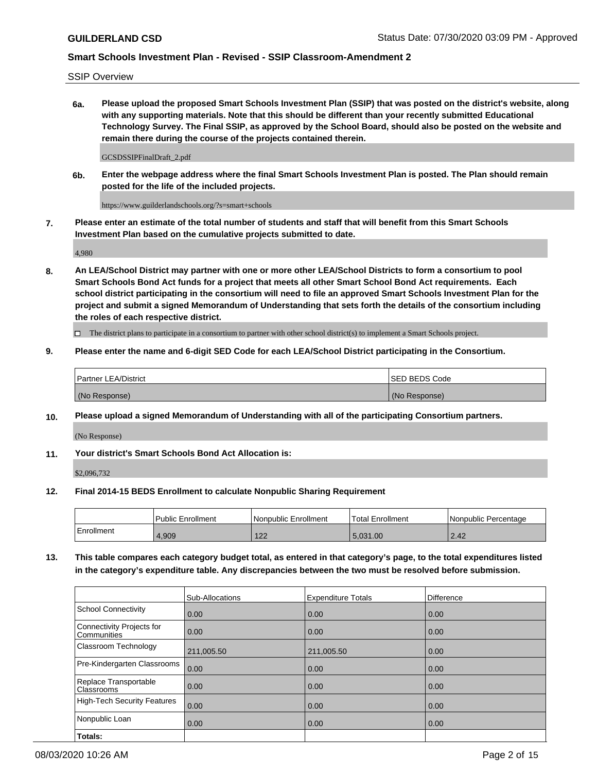SSIP Overview

**6a. Please upload the proposed Smart Schools Investment Plan (SSIP) that was posted on the district's website, along with any supporting materials. Note that this should be different than your recently submitted Educational Technology Survey. The Final SSIP, as approved by the School Board, should also be posted on the website and remain there during the course of the projects contained therein.**

GCSDSSIPFinalDraft\_2.pdf

**6b. Enter the webpage address where the final Smart Schools Investment Plan is posted. The Plan should remain posted for the life of the included projects.**

https://www.guilderlandschools.org/?s=smart+schools

**7. Please enter an estimate of the total number of students and staff that will benefit from this Smart Schools Investment Plan based on the cumulative projects submitted to date.**

4,980

**8. An LEA/School District may partner with one or more other LEA/School Districts to form a consortium to pool Smart Schools Bond Act funds for a project that meets all other Smart School Bond Act requirements. Each school district participating in the consortium will need to file an approved Smart Schools Investment Plan for the project and submit a signed Memorandum of Understanding that sets forth the details of the consortium including the roles of each respective district.**

 $\Box$  The district plans to participate in a consortium to partner with other school district(s) to implement a Smart Schools project.

## **9. Please enter the name and 6-digit SED Code for each LEA/School District participating in the Consortium.**

| <b>Partner LEA/District</b> | ISED BEDS Code |
|-----------------------------|----------------|
| (No Response)               | (No Response)  |

## **10. Please upload a signed Memorandum of Understanding with all of the participating Consortium partners.**

(No Response)

**11. Your district's Smart Schools Bond Act Allocation is:**

\$2,096,732

#### **12. Final 2014-15 BEDS Enrollment to calculate Nonpublic Sharing Requirement**

|            | Public Enrollment | Nonpublic Enrollment | Total Enrollment | l Nonpublic Percentage |
|------------|-------------------|----------------------|------------------|------------------------|
| Enrollment | 1,909             | 100<br>122           | 5.031.00         | 2.42                   |

**13. This table compares each category budget total, as entered in that category's page, to the total expenditures listed in the category's expenditure table. Any discrepancies between the two must be resolved before submission.**

|                                          | Sub-Allocations | <b>Expenditure Totals</b> | Difference |
|------------------------------------------|-----------------|---------------------------|------------|
| <b>School Connectivity</b>               | 0.00            | 0.00                      | 0.00       |
| Connectivity Projects for<br>Communities | 0.00            | 0.00                      | 0.00       |
| Classroom Technology                     | 211,005.50      | 211,005.50                | 0.00       |
| Pre-Kindergarten Classrooms              | 0.00            | 0.00                      | 0.00       |
| Replace Transportable<br>Classrooms      | 0.00            | 0.00                      | 0.00       |
| <b>High-Tech Security Features</b>       | 0.00            | 0.00                      | 0.00       |
| Nonpublic Loan                           | 0.00            | 0.00                      | 0.00       |
| Totals:                                  |                 |                           |            |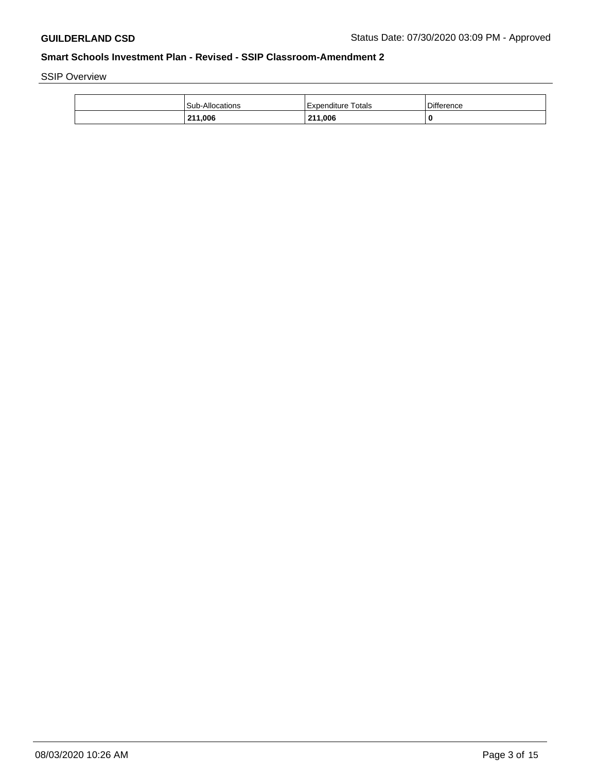SSIP Overview

| <b>Sub-Allocations</b> | Expenditure Totals | <b>Difference</b> |
|------------------------|--------------------|-------------------|
| 211,006                | 211,006            | 0                 |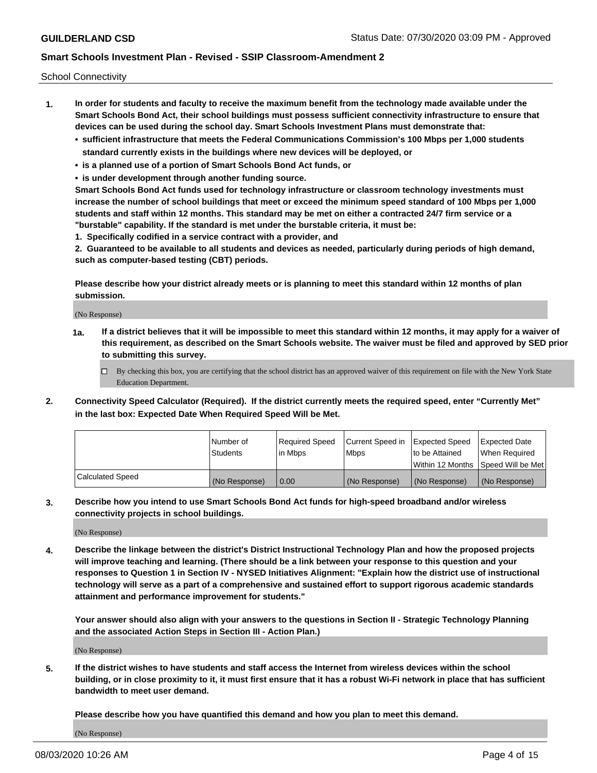School Connectivity

- **1. In order for students and faculty to receive the maximum benefit from the technology made available under the Smart Schools Bond Act, their school buildings must possess sufficient connectivity infrastructure to ensure that devices can be used during the school day. Smart Schools Investment Plans must demonstrate that:**
	- **• sufficient infrastructure that meets the Federal Communications Commission's 100 Mbps per 1,000 students standard currently exists in the buildings where new devices will be deployed, or**
	- **• is a planned use of a portion of Smart Schools Bond Act funds, or**
	- **• is under development through another funding source.**

**Smart Schools Bond Act funds used for technology infrastructure or classroom technology investments must increase the number of school buildings that meet or exceed the minimum speed standard of 100 Mbps per 1,000 students and staff within 12 months. This standard may be met on either a contracted 24/7 firm service or a "burstable" capability. If the standard is met under the burstable criteria, it must be:**

**1. Specifically codified in a service contract with a provider, and**

**2. Guaranteed to be available to all students and devices as needed, particularly during periods of high demand, such as computer-based testing (CBT) periods.**

**Please describe how your district already meets or is planning to meet this standard within 12 months of plan submission.**

(No Response)

**1a. If a district believes that it will be impossible to meet this standard within 12 months, it may apply for a waiver of this requirement, as described on the Smart Schools website. The waiver must be filed and approved by SED prior to submitting this survey.**

 $\Box$  By checking this box, you are certifying that the school district has an approved waiver of this requirement on file with the New York State Education Department.

**2. Connectivity Speed Calculator (Required). If the district currently meets the required speed, enter "Currently Met" in the last box: Expected Date When Required Speed Will be Met.**

|                  | l Number of     | Required Speed | Current Speed in | Expected Speed  | Expected Date                           |
|------------------|-----------------|----------------|------------------|-----------------|-----------------------------------------|
|                  | <b>Students</b> | In Mbps        | l Mbps           | to be Attained  | When Required                           |
|                  |                 |                |                  |                 | l Within 12 Months ISpeed Will be Met l |
| Calculated Speed | (No Response)   | 0.00           | (No Response)    | l (No Response) | l (No Response)                         |

**3. Describe how you intend to use Smart Schools Bond Act funds for high-speed broadband and/or wireless connectivity projects in school buildings.**

(No Response)

**4. Describe the linkage between the district's District Instructional Technology Plan and how the proposed projects will improve teaching and learning. (There should be a link between your response to this question and your responses to Question 1 in Section IV - NYSED Initiatives Alignment: "Explain how the district use of instructional technology will serve as a part of a comprehensive and sustained effort to support rigorous academic standards attainment and performance improvement for students."** 

**Your answer should also align with your answers to the questions in Section II - Strategic Technology Planning and the associated Action Steps in Section III - Action Plan.)**

(No Response)

**5. If the district wishes to have students and staff access the Internet from wireless devices within the school building, or in close proximity to it, it must first ensure that it has a robust Wi-Fi network in place that has sufficient bandwidth to meet user demand.**

**Please describe how you have quantified this demand and how you plan to meet this demand.**

(No Response)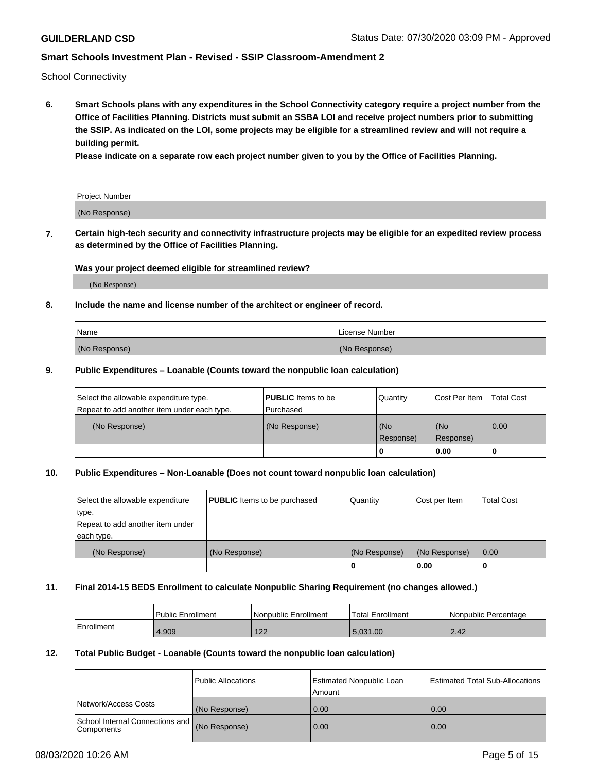School Connectivity

**6. Smart Schools plans with any expenditures in the School Connectivity category require a project number from the Office of Facilities Planning. Districts must submit an SSBA LOI and receive project numbers prior to submitting the SSIP. As indicated on the LOI, some projects may be eligible for a streamlined review and will not require a building permit.**

**Please indicate on a separate row each project number given to you by the Office of Facilities Planning.**

| Project Number |  |
|----------------|--|
| (No Response)  |  |

**7. Certain high-tech security and connectivity infrastructure projects may be eligible for an expedited review process as determined by the Office of Facilities Planning.**

### **Was your project deemed eligible for streamlined review?**

(No Response)

### **8. Include the name and license number of the architect or engineer of record.**

| Name          | License Number |
|---------------|----------------|
| (No Response) | (No Response)  |

### **9. Public Expenditures – Loanable (Counts toward the nonpublic loan calculation)**

| Select the allowable expenditure type.<br>Repeat to add another item under each type. | <b>PUBLIC</b> Items to be<br>l Purchased | Quantity           | Cost Per Item    | <b>Total Cost</b> |
|---------------------------------------------------------------------------------------|------------------------------------------|--------------------|------------------|-------------------|
| (No Response)                                                                         | (No Response)                            | l (No<br>Response) | (No<br>Response) | $\overline{0.00}$ |
|                                                                                       |                                          | 0                  | 0.00             |                   |

# **10. Public Expenditures – Non-Loanable (Does not count toward nonpublic loan calculation)**

| Select the allowable expenditure<br>type.<br>Repeat to add another item under<br>each type. | <b>PUBLIC</b> Items to be purchased | Quantity      | Cost per Item | <b>Total Cost</b> |
|---------------------------------------------------------------------------------------------|-------------------------------------|---------------|---------------|-------------------|
| (No Response)                                                                               | (No Response)                       | (No Response) | (No Response) | 0.00              |
|                                                                                             |                                     |               | 0.00          |                   |

#### **11. Final 2014-15 BEDS Enrollment to calculate Nonpublic Sharing Requirement (no changes allowed.)**

|            | Public Enrollment | l Nonpublic Enrollment | <b>Total Enrollment</b> | Nonpublic Percentage |
|------------|-------------------|------------------------|-------------------------|----------------------|
| Enrollment | 4,909             | 122<br>▗▃▁             | 5.031.00                | 2.42                 |

### **12. Total Public Budget - Loanable (Counts toward the nonpublic loan calculation)**

|                                                      | Public Allocations | <b>Estimated Nonpublic Loan</b><br>Amount | Estimated Total Sub-Allocations |
|------------------------------------------------------|--------------------|-------------------------------------------|---------------------------------|
| Network/Access Costs                                 | (No Response)      | 0.00                                      | 0.00                            |
| School Internal Connections and<br><b>Components</b> | (No Response)      | 0.00                                      | 0.00                            |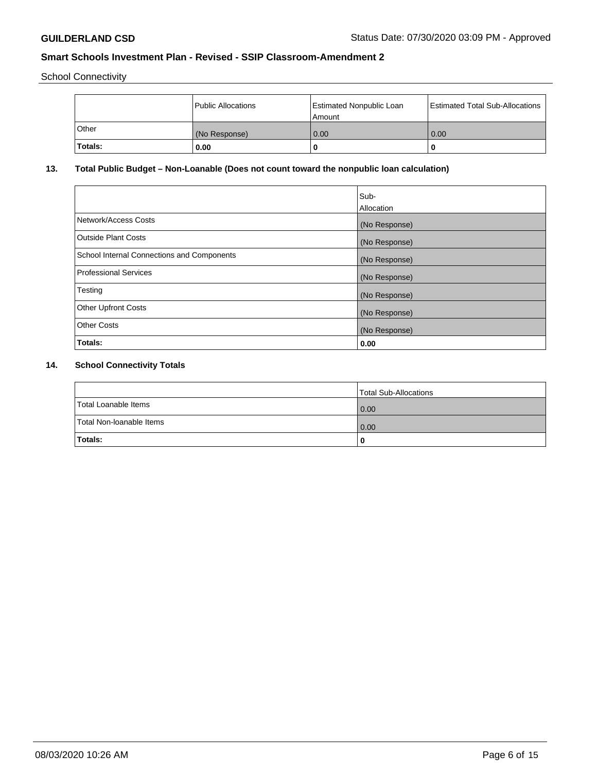School Connectivity

|              | Public Allocations | <b>Estimated Nonpublic Loan</b><br>Amount | <b>Estimated Total Sub-Allocations</b> |
|--------------|--------------------|-------------------------------------------|----------------------------------------|
| <b>Other</b> | (No Response)      | 0.00                                      | 0.00                                   |
| Totals:      | 0.00               |                                           | 0                                      |

# **13. Total Public Budget – Non-Loanable (Does not count toward the nonpublic loan calculation)**

| Sub-<br>Allocation |
|--------------------|
| (No Response)      |
| (No Response)      |
| (No Response)      |
| (No Response)      |
| (No Response)      |
| (No Response)      |
| (No Response)      |
| 0.00               |
|                    |

# **14. School Connectivity Totals**

|                          | Total Sub-Allocations |
|--------------------------|-----------------------|
| Total Loanable Items     | 0.00                  |
| Total Non-Ioanable Items | 0.00                  |
| Totals:                  | 0                     |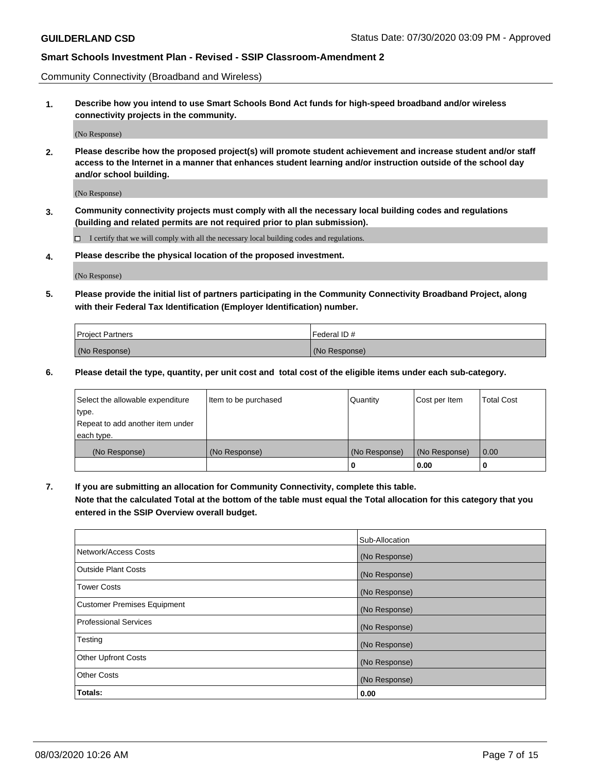Community Connectivity (Broadband and Wireless)

**1. Describe how you intend to use Smart Schools Bond Act funds for high-speed broadband and/or wireless connectivity projects in the community.**

(No Response)

**2. Please describe how the proposed project(s) will promote student achievement and increase student and/or staff access to the Internet in a manner that enhances student learning and/or instruction outside of the school day and/or school building.**

(No Response)

**3. Community connectivity projects must comply with all the necessary local building codes and regulations (building and related permits are not required prior to plan submission).**

 $\Box$  I certify that we will comply with all the necessary local building codes and regulations.

**4. Please describe the physical location of the proposed investment.**

(No Response)

**5. Please provide the initial list of partners participating in the Community Connectivity Broadband Project, along with their Federal Tax Identification (Employer Identification) number.**

| <b>Project Partners</b> | l Federal ID # |
|-------------------------|----------------|
| (No Response)           | (No Response)  |

**6. Please detail the type, quantity, per unit cost and total cost of the eligible items under each sub-category.**

| Select the allowable expenditure | Item to be purchased | Quantity      | Cost per Item | <b>Total Cost</b> |
|----------------------------------|----------------------|---------------|---------------|-------------------|
| type.                            |                      |               |               |                   |
| Repeat to add another item under |                      |               |               |                   |
| each type.                       |                      |               |               |                   |
| (No Response)                    | (No Response)        | (No Response) | (No Response) | 0.00              |
|                                  |                      | o             | 0.00          |                   |

**7. If you are submitting an allocation for Community Connectivity, complete this table.**

**Note that the calculated Total at the bottom of the table must equal the Total allocation for this category that you entered in the SSIP Overview overall budget.**

|                                    | Sub-Allocation |
|------------------------------------|----------------|
| Network/Access Costs               | (No Response)  |
| Outside Plant Costs                | (No Response)  |
| <b>Tower Costs</b>                 | (No Response)  |
| <b>Customer Premises Equipment</b> | (No Response)  |
| <b>Professional Services</b>       | (No Response)  |
| Testing                            | (No Response)  |
| <b>Other Upfront Costs</b>         | (No Response)  |
| <b>Other Costs</b>                 | (No Response)  |
| Totals:                            | 0.00           |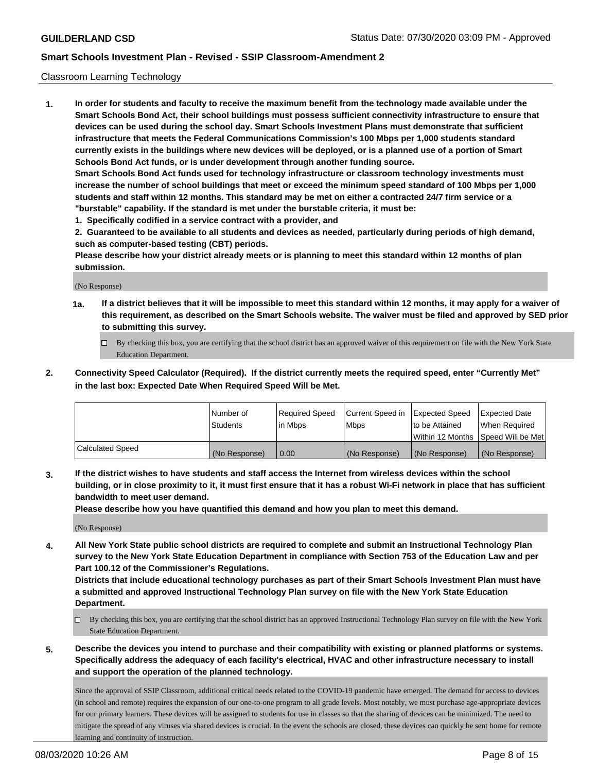### Classroom Learning Technology

**1. In order for students and faculty to receive the maximum benefit from the technology made available under the Smart Schools Bond Act, their school buildings must possess sufficient connectivity infrastructure to ensure that devices can be used during the school day. Smart Schools Investment Plans must demonstrate that sufficient infrastructure that meets the Federal Communications Commission's 100 Mbps per 1,000 students standard currently exists in the buildings where new devices will be deployed, or is a planned use of a portion of Smart Schools Bond Act funds, or is under development through another funding source. Smart Schools Bond Act funds used for technology infrastructure or classroom technology investments must increase the number of school buildings that meet or exceed the minimum speed standard of 100 Mbps per 1,000 students and staff within 12 months. This standard may be met on either a contracted 24/7 firm service or a "burstable" capability. If the standard is met under the burstable criteria, it must be:**

**1. Specifically codified in a service contract with a provider, and**

**2. Guaranteed to be available to all students and devices as needed, particularly during periods of high demand, such as computer-based testing (CBT) periods.**

**Please describe how your district already meets or is planning to meet this standard within 12 months of plan submission.**

(No Response)

- **1a. If a district believes that it will be impossible to meet this standard within 12 months, it may apply for a waiver of this requirement, as described on the Smart Schools website. The waiver must be filed and approved by SED prior to submitting this survey.**
	- By checking this box, you are certifying that the school district has an approved waiver of this requirement on file with the New York State Education Department.
- **2. Connectivity Speed Calculator (Required). If the district currently meets the required speed, enter "Currently Met" in the last box: Expected Date When Required Speed Will be Met.**

|                  | l Number of     | Required Speed | Current Speed in | <b>Expected Speed</b> | <b>Expected Date</b>                |
|------------------|-----------------|----------------|------------------|-----------------------|-------------------------------------|
|                  | <b>Students</b> | l in Mbps      | l Mbps           | to be Attained        | When Required                       |
|                  |                 |                |                  |                       | Within 12 Months  Speed Will be Met |
| Calculated Speed | (No Response)   | 0.00           | (No Response)    | l (No Response)       | (No Response)                       |

**3. If the district wishes to have students and staff access the Internet from wireless devices within the school building, or in close proximity to it, it must first ensure that it has a robust Wi-Fi network in place that has sufficient bandwidth to meet user demand.**

**Please describe how you have quantified this demand and how you plan to meet this demand.**

(No Response)

**4. All New York State public school districts are required to complete and submit an Instructional Technology Plan survey to the New York State Education Department in compliance with Section 753 of the Education Law and per Part 100.12 of the Commissioner's Regulations.**

**Districts that include educational technology purchases as part of their Smart Schools Investment Plan must have a submitted and approved Instructional Technology Plan survey on file with the New York State Education Department.**

- By checking this box, you are certifying that the school district has an approved Instructional Technology Plan survey on file with the New York State Education Department.
- **5. Describe the devices you intend to purchase and their compatibility with existing or planned platforms or systems. Specifically address the adequacy of each facility's electrical, HVAC and other infrastructure necessary to install and support the operation of the planned technology.**

Since the approval of SSIP Classroom, additional critical needs related to the COVID-19 pandemic have emerged. The demand for access to devices (in school and remote) requires the expansion of our one-to-one program to all grade levels. Most notably, we must purchase age-appropriate devices for our primary learners. These devices will be assigned to students for use in classes so that the sharing of devices can be minimized. The need to mitigate the spread of any viruses via shared devices is crucial. In the event the schools are closed, these devices can quickly be sent home for remote learning and continuity of instruction.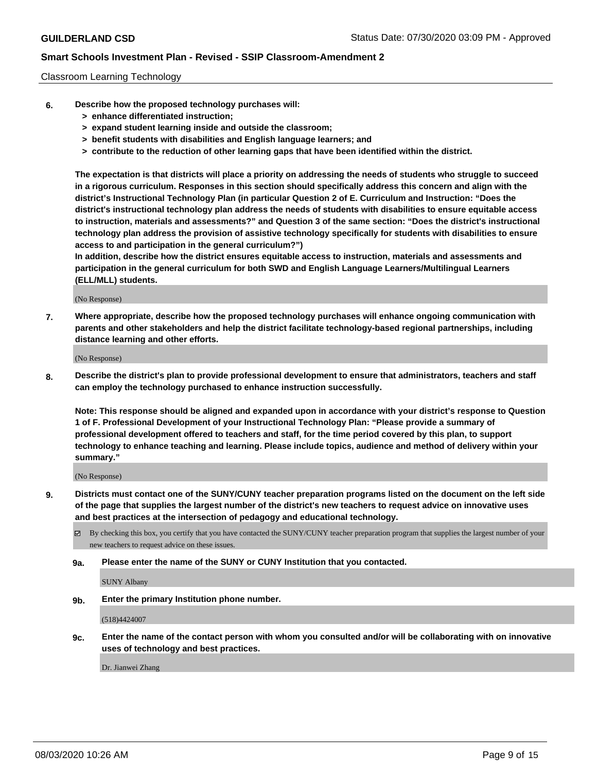### Classroom Learning Technology

- **6. Describe how the proposed technology purchases will:**
	- **> enhance differentiated instruction;**
	- **> expand student learning inside and outside the classroom;**
	- **> benefit students with disabilities and English language learners; and**
	- **> contribute to the reduction of other learning gaps that have been identified within the district.**

**The expectation is that districts will place a priority on addressing the needs of students who struggle to succeed in a rigorous curriculum. Responses in this section should specifically address this concern and align with the district's Instructional Technology Plan (in particular Question 2 of E. Curriculum and Instruction: "Does the district's instructional technology plan address the needs of students with disabilities to ensure equitable access to instruction, materials and assessments?" and Question 3 of the same section: "Does the district's instructional technology plan address the provision of assistive technology specifically for students with disabilities to ensure access to and participation in the general curriculum?")**

**In addition, describe how the district ensures equitable access to instruction, materials and assessments and participation in the general curriculum for both SWD and English Language Learners/Multilingual Learners (ELL/MLL) students.**

(No Response)

**7. Where appropriate, describe how the proposed technology purchases will enhance ongoing communication with parents and other stakeholders and help the district facilitate technology-based regional partnerships, including distance learning and other efforts.**

(No Response)

**8. Describe the district's plan to provide professional development to ensure that administrators, teachers and staff can employ the technology purchased to enhance instruction successfully.**

**Note: This response should be aligned and expanded upon in accordance with your district's response to Question 1 of F. Professional Development of your Instructional Technology Plan: "Please provide a summary of professional development offered to teachers and staff, for the time period covered by this plan, to support technology to enhance teaching and learning. Please include topics, audience and method of delivery within your summary."**

(No Response)

- **9. Districts must contact one of the SUNY/CUNY teacher preparation programs listed on the document on the left side of the page that supplies the largest number of the district's new teachers to request advice on innovative uses and best practices at the intersection of pedagogy and educational technology.**
	- $\boxtimes$  By checking this box, you certify that you have contacted the SUNY/CUNY teacher preparation program that supplies the largest number of your new teachers to request advice on these issues.
	- **9a. Please enter the name of the SUNY or CUNY Institution that you contacted.**

SUNY Albany

**9b. Enter the primary Institution phone number.**

(518)4424007

**9c. Enter the name of the contact person with whom you consulted and/or will be collaborating with on innovative uses of technology and best practices.**

Dr. Jianwei Zhang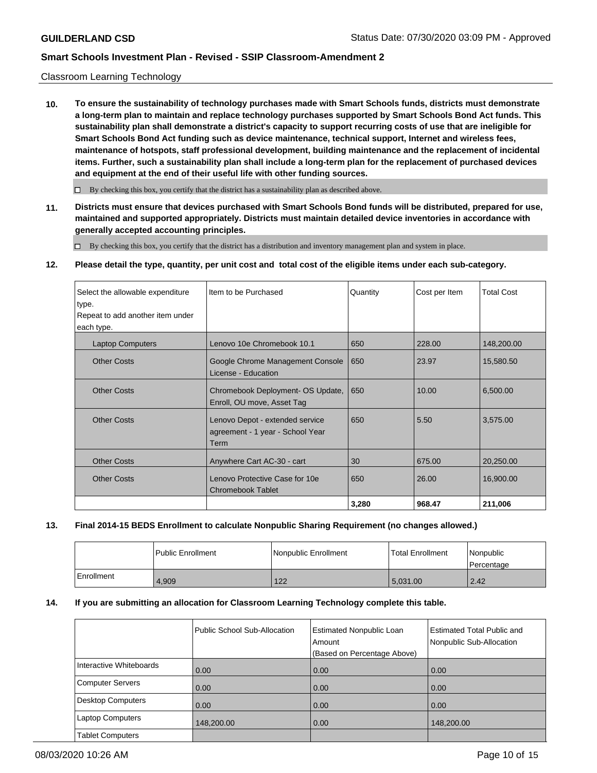## Classroom Learning Technology

**10. To ensure the sustainability of technology purchases made with Smart Schools funds, districts must demonstrate a long-term plan to maintain and replace technology purchases supported by Smart Schools Bond Act funds. This sustainability plan shall demonstrate a district's capacity to support recurring costs of use that are ineligible for Smart Schools Bond Act funding such as device maintenance, technical support, Internet and wireless fees, maintenance of hotspots, staff professional development, building maintenance and the replacement of incidental items. Further, such a sustainability plan shall include a long-term plan for the replacement of purchased devices and equipment at the end of their useful life with other funding sources.**

 $\Box$  By checking this box, you certify that the district has a sustainability plan as described above.

**11. Districts must ensure that devices purchased with Smart Schools Bond funds will be distributed, prepared for use, maintained and supported appropriately. Districts must maintain detailed device inventories in accordance with generally accepted accounting principles.**

By checking this box, you certify that the district has a distribution and inventory management plan and system in place.

**12. Please detail the type, quantity, per unit cost and total cost of the eligible items under each sub-category.**

| Select the allowable expenditure | Item to be Purchased              | Quantity | Cost per Item | <b>Total Cost</b> |
|----------------------------------|-----------------------------------|----------|---------------|-------------------|
| type.                            |                                   |          |               |                   |
| Repeat to add another item under |                                   |          |               |                   |
| each type.                       |                                   |          |               |                   |
| <b>Laptop Computers</b>          | Lenovo 10e Chromebook 10.1        | 650      | 228.00        | 148,200.00        |
| <b>Other Costs</b>               | Google Chrome Management Console  | 650      | 23.97         | 15,580.50         |
|                                  | License - Education               |          |               |                   |
|                                  |                                   |          |               |                   |
| <b>Other Costs</b>               | Chromebook Deployment- OS Update, | 650      | 10.00         | 6,500.00          |
|                                  | Enroll, OU move, Asset Tag        |          |               |                   |
| <b>Other Costs</b>               | Lenovo Depot - extended service   | 650      | 5.50          | 3,575.00          |
|                                  | agreement - 1 year - School Year  |          |               |                   |
|                                  | Term                              |          |               |                   |
| <b>Other Costs</b>               | Anywhere Cart AC-30 - cart        | 30       | 675.00        | 20,250.00         |
|                                  |                                   |          |               |                   |
| <b>Other Costs</b>               | Lenovo Protective Case for 10e    | 650      | 26.00         | 16,900.00         |
|                                  | <b>Chromebook Tablet</b>          |          |               |                   |
|                                  |                                   | 3,280    | 968.47        | 211,006           |

## **13. Final 2014-15 BEDS Enrollment to calculate Nonpublic Sharing Requirement (no changes allowed.)**

|            | l Public Enrollment | Nonpublic Enrollment | Total Enrollment | Nonpublic<br>Percentage |
|------------|---------------------|----------------------|------------------|-------------------------|
| Enrollment | 4,909               | 122                  | 5.031.00         | 2.42                    |

#### **14. If you are submitting an allocation for Classroom Learning Technology complete this table.**

|                          | Public School Sub-Allocation | <b>Estimated Nonpublic Loan</b><br>Amount<br>(Based on Percentage Above) | <b>Estimated Total Public and</b><br>Nonpublic Sub-Allocation |
|--------------------------|------------------------------|--------------------------------------------------------------------------|---------------------------------------------------------------|
| Interactive Whiteboards  | 0.00                         | 0.00                                                                     | 0.00                                                          |
| <b>Computer Servers</b>  | 0.00                         | 0.00                                                                     | 0.00                                                          |
| <b>Desktop Computers</b> | 0.00                         | 0.00                                                                     | 0.00                                                          |
| <b>Laptop Computers</b>  | 148,200.00                   | 0.00                                                                     | 148,200.00                                                    |
| <b>Tablet Computers</b>  |                              |                                                                          |                                                               |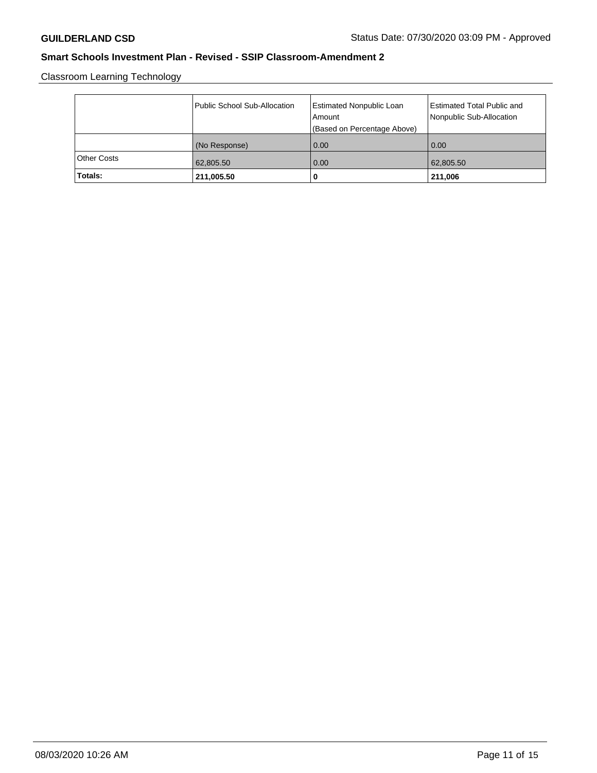Classroom Learning Technology

|                    | Public School Sub-Allocation | <b>Estimated Nonpublic Loan</b><br>l Amount<br>(Based on Percentage Above) | <b>Estimated Total Public and</b><br>Nonpublic Sub-Allocation |
|--------------------|------------------------------|----------------------------------------------------------------------------|---------------------------------------------------------------|
|                    | (No Response)                | 0.00                                                                       | 0.00                                                          |
| <b>Other Costs</b> | 62,805.50                    | 0.00                                                                       | 62,805.50                                                     |
| Totals:            | 211,005.50                   | 0                                                                          | 211,006                                                       |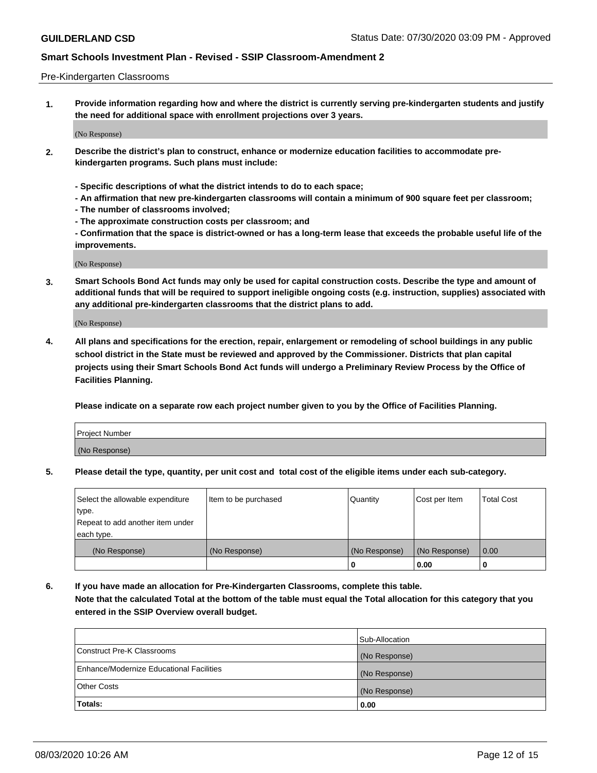#### Pre-Kindergarten Classrooms

**1. Provide information regarding how and where the district is currently serving pre-kindergarten students and justify the need for additional space with enrollment projections over 3 years.**

(No Response)

- **2. Describe the district's plan to construct, enhance or modernize education facilities to accommodate prekindergarten programs. Such plans must include:**
	- **Specific descriptions of what the district intends to do to each space;**
	- **An affirmation that new pre-kindergarten classrooms will contain a minimum of 900 square feet per classroom;**
	- **The number of classrooms involved;**
	- **The approximate construction costs per classroom; and**
	- **Confirmation that the space is district-owned or has a long-term lease that exceeds the probable useful life of the improvements.**

(No Response)

**3. Smart Schools Bond Act funds may only be used for capital construction costs. Describe the type and amount of additional funds that will be required to support ineligible ongoing costs (e.g. instruction, supplies) associated with any additional pre-kindergarten classrooms that the district plans to add.**

(No Response)

**4. All plans and specifications for the erection, repair, enlargement or remodeling of school buildings in any public school district in the State must be reviewed and approved by the Commissioner. Districts that plan capital projects using their Smart Schools Bond Act funds will undergo a Preliminary Review Process by the Office of Facilities Planning.**

**Please indicate on a separate row each project number given to you by the Office of Facilities Planning.**

| Project Number |  |
|----------------|--|
| (No Response)  |  |
|                |  |

**5. Please detail the type, quantity, per unit cost and total cost of the eligible items under each sub-category.**

| Select the allowable expenditure | Item to be purchased | Quantity      | Cost per Item | <b>Total Cost</b> |
|----------------------------------|----------------------|---------------|---------------|-------------------|
| type.                            |                      |               |               |                   |
| Repeat to add another item under |                      |               |               |                   |
| each type.                       |                      |               |               |                   |
| (No Response)                    | (No Response)        | (No Response) | (No Response) | 0.00              |
|                                  |                      | U             | 0.00          |                   |

**6. If you have made an allocation for Pre-Kindergarten Classrooms, complete this table. Note that the calculated Total at the bottom of the table must equal the Total allocation for this category that you entered in the SSIP Overview overall budget.**

| Totals:                                  | 0.00           |
|------------------------------------------|----------------|
| <b>Other Costs</b>                       | (No Response)  |
| Enhance/Modernize Educational Facilities | (No Response)  |
| Construct Pre-K Classrooms               | (No Response)  |
|                                          | Sub-Allocation |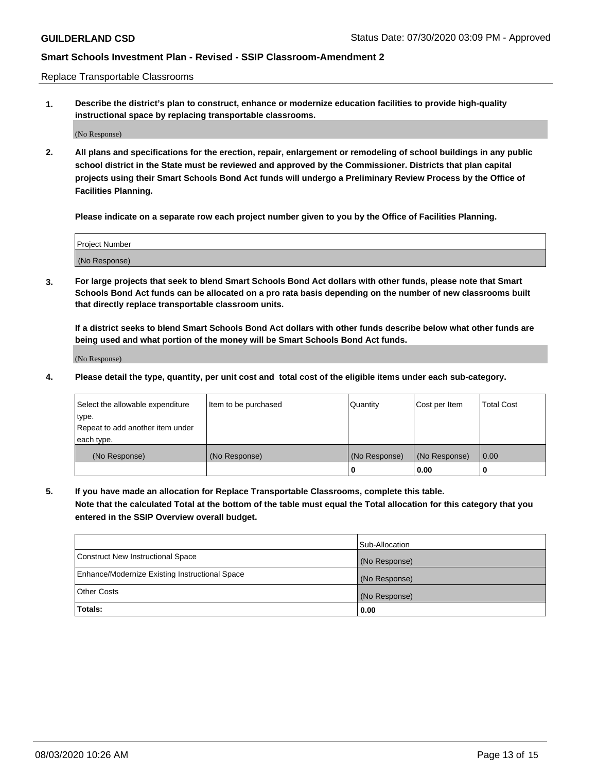Replace Transportable Classrooms

**1. Describe the district's plan to construct, enhance or modernize education facilities to provide high-quality instructional space by replacing transportable classrooms.**

(No Response)

**2. All plans and specifications for the erection, repair, enlargement or remodeling of school buildings in any public school district in the State must be reviewed and approved by the Commissioner. Districts that plan capital projects using their Smart Schools Bond Act funds will undergo a Preliminary Review Process by the Office of Facilities Planning.**

**Please indicate on a separate row each project number given to you by the Office of Facilities Planning.**

| Project Number |  |
|----------------|--|
|                |  |
|                |  |
|                |  |
| (No Response)  |  |
|                |  |
|                |  |

**3. For large projects that seek to blend Smart Schools Bond Act dollars with other funds, please note that Smart Schools Bond Act funds can be allocated on a pro rata basis depending on the number of new classrooms built that directly replace transportable classroom units.**

**If a district seeks to blend Smart Schools Bond Act dollars with other funds describe below what other funds are being used and what portion of the money will be Smart Schools Bond Act funds.**

(No Response)

**4. Please detail the type, quantity, per unit cost and total cost of the eligible items under each sub-category.**

| Select the allowable expenditure | Item to be purchased | Quantity      | Cost per Item | Total Cost |
|----------------------------------|----------------------|---------------|---------------|------------|
| ∣type.                           |                      |               |               |            |
| Repeat to add another item under |                      |               |               |            |
| each type.                       |                      |               |               |            |
| (No Response)                    | (No Response)        | (No Response) | (No Response) | 0.00       |
|                                  |                      | u             | 0.00          |            |

**5. If you have made an allocation for Replace Transportable Classrooms, complete this table. Note that the calculated Total at the bottom of the table must equal the Total allocation for this category that you entered in the SSIP Overview overall budget.**

|                                                | Sub-Allocation |
|------------------------------------------------|----------------|
| Construct New Instructional Space              | (No Response)  |
| Enhance/Modernize Existing Instructional Space | (No Response)  |
| Other Costs                                    | (No Response)  |
| Totals:                                        | 0.00           |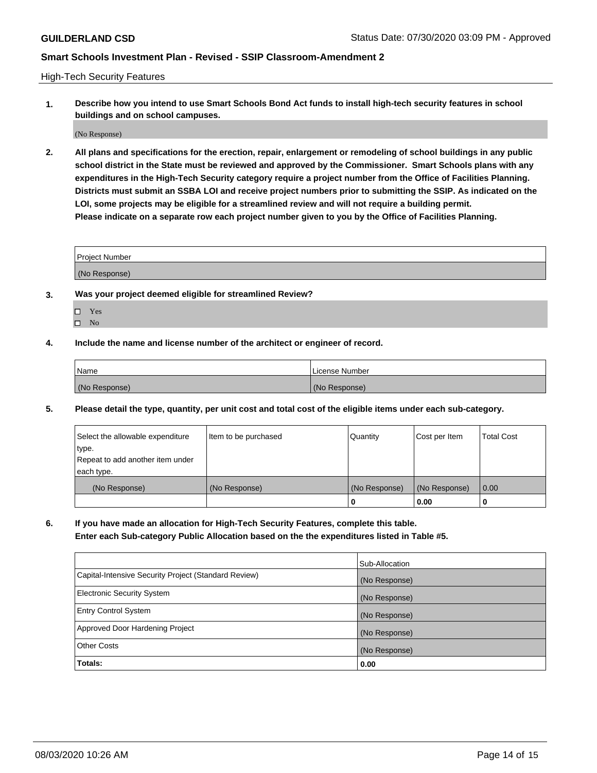High-Tech Security Features

**1. Describe how you intend to use Smart Schools Bond Act funds to install high-tech security features in school buildings and on school campuses.**

(No Response)

**2. All plans and specifications for the erection, repair, enlargement or remodeling of school buildings in any public school district in the State must be reviewed and approved by the Commissioner. Smart Schools plans with any expenditures in the High-Tech Security category require a project number from the Office of Facilities Planning. Districts must submit an SSBA LOI and receive project numbers prior to submitting the SSIP. As indicated on the LOI, some projects may be eligible for a streamlined review and will not require a building permit. Please indicate on a separate row each project number given to you by the Office of Facilities Planning.**

| <b>Project Number</b> |  |
|-----------------------|--|
|                       |  |
| (No Response)         |  |

- **3. Was your project deemed eligible for streamlined Review?**
	- Yes
	- $\hfill \square$  No
- **4. Include the name and license number of the architect or engineer of record.**

| <b>Name</b>   | License Number |
|---------------|----------------|
| (No Response) | (No Response)  |

**5. Please detail the type, quantity, per unit cost and total cost of the eligible items under each sub-category.**

| Select the allowable expenditure | Item to be purchased | Quantity      | Cost per Item | <b>Total Cost</b> |
|----------------------------------|----------------------|---------------|---------------|-------------------|
| type.                            |                      |               |               |                   |
| Repeat to add another item under |                      |               |               |                   |
| each type.                       |                      |               |               |                   |
| (No Response)                    | (No Response)        | (No Response) | (No Response) | 0.00              |
|                                  |                      | 0             | 0.00          |                   |

**6. If you have made an allocation for High-Tech Security Features, complete this table.**

**Enter each Sub-category Public Allocation based on the the expenditures listed in Table #5.**

|                                                      | Sub-Allocation |
|------------------------------------------------------|----------------|
| Capital-Intensive Security Project (Standard Review) | (No Response)  |
| <b>Electronic Security System</b>                    | (No Response)  |
| <b>Entry Control System</b>                          | (No Response)  |
| Approved Door Hardening Project                      | (No Response)  |
| <b>Other Costs</b>                                   | (No Response)  |
| Totals:                                              | 0.00           |